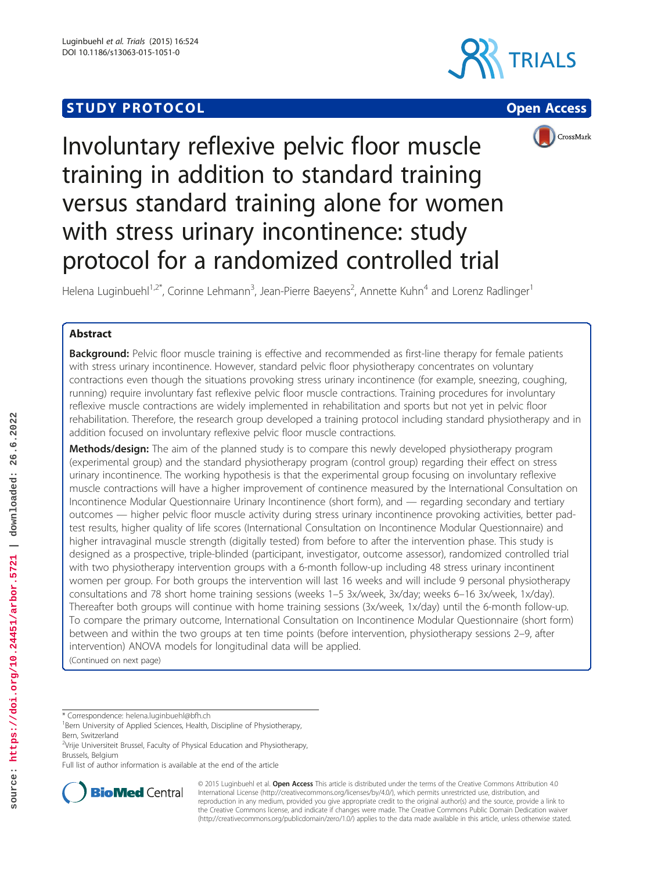# **STUDY PROTOCOL CONSUMING THE CONSUMING OPEN ACCESS**







# Involuntary reflexive pelvic floor muscle training in addition to standard training versus standard training alone for women with stress urinary incontinence: study protocol for a randomized controlled trial

Helena Luginbuehl<sup>1,2\*</sup>, Corinne Lehmann<sup>3</sup>, Jean-Pierre Baeyens<sup>2</sup>, Annette Kuhn<sup>4</sup> and Lorenz Radlinger<sup>1</sup>

# Abstract

**Background:** Pelvic floor muscle training is effective and recommended as first-line therapy for female patients with stress urinary incontinence. However, standard pelvic floor physiotherapy concentrates on voluntary contractions even though the situations provoking stress urinary incontinence (for example, sneezing, coughing, running) require involuntary fast reflexive pelvic floor muscle contractions. Training procedures for involuntary reflexive muscle contractions are widely implemented in rehabilitation and sports but not yet in pelvic floor rehabilitation. Therefore, the research group developed a training protocol including standard physiotherapy and in addition focused on involuntary reflexive pelvic floor muscle contractions.

Methods/design: The aim of the planned study is to compare this newly developed physiotherapy program (experimental group) and the standard physiotherapy program (control group) regarding their effect on stress urinary incontinence. The working hypothesis is that the experimental group focusing on involuntary reflexive muscle contractions will have a higher improvement of continence measured by the International Consultation on Incontinence Modular Questionnaire Urinary Incontinence (short form), and — regarding secondary and tertiary outcomes — higher pelvic floor muscle activity during stress urinary incontinence provoking activities, better padtest results, higher quality of life scores (International Consultation on Incontinence Modular Questionnaire) and higher intravaginal muscle strength (digitally tested) from before to after the intervention phase. This study is designed as a prospective, triple-blinded (participant, investigator, outcome assessor), randomized controlled trial with two physiotherapy intervention groups with a 6-month follow-up including 48 stress urinary incontinent women per group. For both groups the intervention will last 16 weeks and will include 9 personal physiotherapy consultations and 78 short home training sessions (weeks 1–5 3x/week, 3x/day; weeks 6–16 3x/week, 1x/day). Thereafter both groups will continue with home training sessions (3x/week, 1x/day) until the 6-month follow-up. To compare the primary outcome, International Consultation on Incontinence Modular Questionnaire (short form) between and within the two groups at ten time points (before intervention, physiotherapy sessions 2–9, after intervention) ANOVA models for longitudinal data will be applied.

(Continued on next page)

\* Correspondence: [helena.luginbuehl@bfh.ch](mailto:helena.luginbuehl@bfh.ch) <sup>1</sup>

Full list of author information is available at the end of the article



© 2015 Luginbuehl et al. Open Access This article is distributed under the terms of the Creative Commons Attribution 4.0 International License [\(http://creativecommons.org/licenses/by/4.0/](http://creativecommons.org/licenses/by/4.0/)), which permits unrestricted use, distribution, and reproduction in any medium, provided you give appropriate credit to the original author(s) and the source, provide a link to the Creative Commons license, and indicate if changes were made. The Creative Commons Public Domain Dedication waiver [\(http://creativecommons.org/publicdomain/zero/1.0/](http://creativecommons.org/publicdomain/zero/1.0/)) applies to the data made available in this article, unless otherwise stated.

<sup>&</sup>lt;sup>1</sup>Bern University of Applied Sciences, Health, Discipline of Physiotherapy, Bern, Switzerland

<sup>&</sup>lt;sup>2</sup>Vrije Universiteit Brussel, Faculty of Physical Education and Physiotherapy, Brussels, Belgium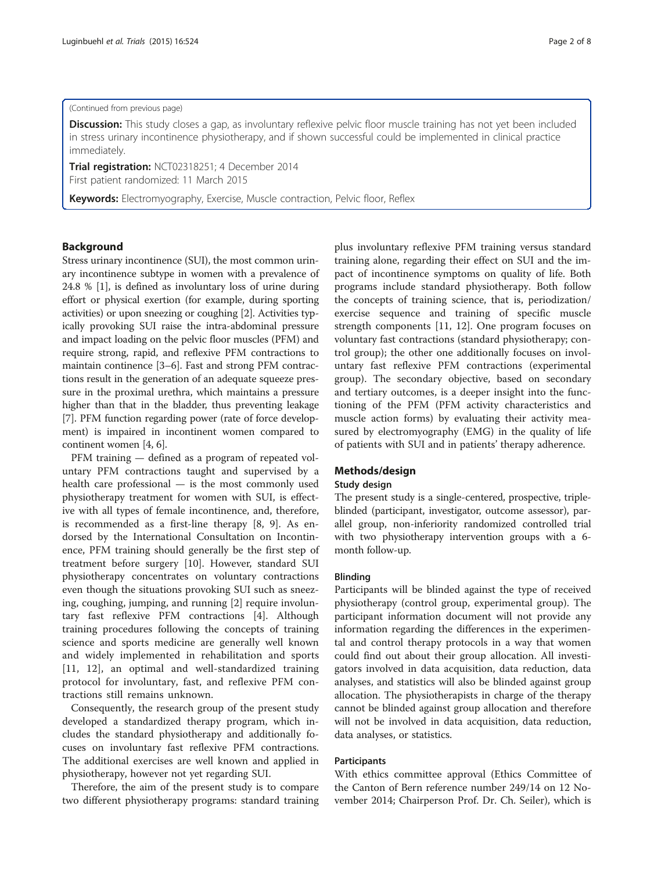# (Continued from previous page)

Discussion: This study closes a gap, as involuntary reflexive pelvic floor muscle training has not yet been included in stress urinary incontinence physiotherapy, and if shown successful could be implemented in clinical practice immediately.

Trial registration: [NCT02318251](https://clinicaltrials.gov/ct2/show/NCT02318251?term=NCT02318251&rank=1); 4 December 2014

First patient randomized: 11 March 2015

**Keywords:** Electromyography, Exercise, Muscle contraction, Pelvic floor, Reflex

# Background

Stress urinary incontinence (SUI), the most common urinary incontinence subtype in women with a prevalence of 24.8 % [1], is defined as involuntary loss of urine during effort or physical exertion (for example, during sporting activities) or upon sneezing or coughing [2]. Activities typically provoking SUI raise the intra-abdominal pressure and impact loading on the pelvic floor muscles (PFM) and require strong, rapid, and reflexive PFM contractions to maintain continence [3–6]. Fast and strong PFM contractions result in the generation of an adequate squeeze pressure in the proximal urethra, which maintains a pressure higher than that in the bladder, thus preventing leakage [7]. PFM function regarding power (rate of force development) is impaired in incontinent women compared to continent women [4, 6].

PFM training — defined as a program of repeated voluntary PFM contractions taught and supervised by a health care professional — is the most commonly used physiotherapy treatment for women with SUI, is effective with all types of female incontinence, and, therefore, is recommended as a first-line therapy [8, 9]. As endorsed by the International Consultation on Incontinence, PFM training should generally be the first step of treatment before surgery [10]. However, standard SUI physiotherapy concentrates on voluntary contractions even though the situations provoking SUI such as sneezing, coughing, jumping, and running [2] require involuntary fast reflexive PFM contractions [4]. Although training procedures following the concepts of training science and sports medicine are generally well known and widely implemented in rehabilitation and sports [11, 12], an optimal and well-standardized training protocol for involuntary, fast, and reflexive PFM contractions still remains unknown.

Consequently, the research group of the present study developed a standardized therapy program, which includes the standard physiotherapy and additionally focuses on involuntary fast reflexive PFM contractions. The additional exercises are well known and applied in physiotherapy, however not yet regarding SUI.

Therefore, the aim of the present study is to compare two different physiotherapy programs: standard training

plus involuntary reflexive PFM training versus standard training alone, regarding their effect on SUI and the impact of incontinence symptoms on quality of life. Both programs include standard physiotherapy. Both follow the concepts of training science, that is, periodization/ exercise sequence and training of specific muscle strength components [11, 12]. One program focuses on voluntary fast contractions (standard physiotherapy; control group); the other one additionally focuses on involuntary fast reflexive PFM contractions (experimental group). The secondary objective, based on secondary and tertiary outcomes, is a deeper insight into the functioning of the PFM (PFM activity characteristics and muscle action forms) by evaluating their activity measured by electromyography (EMG) in the quality of life of patients with SUI and in patients' therapy adherence.

# Methods/design

# Study design

The present study is a single-centered, prospective, tripleblinded (participant, investigator, outcome assessor), parallel group, non-inferiority randomized controlled trial with two physiotherapy intervention groups with a 6 month follow-up.

#### Blinding

Participants will be blinded against the type of received physiotherapy (control group, experimental group). The participant information document will not provide any information regarding the differences in the experimental and control therapy protocols in a way that women could find out about their group allocation. All investigators involved in data acquisition, data reduction, data analyses, and statistics will also be blinded against group allocation. The physiotherapists in charge of the therapy cannot be blinded against group allocation and therefore will not be involved in data acquisition, data reduction, data analyses, or statistics.

#### Participants

With ethics committee approval (Ethics Committee of the Canton of Bern reference number 249/14 on 12 November 2014; Chairperson Prof. Dr. Ch. Seiler), which is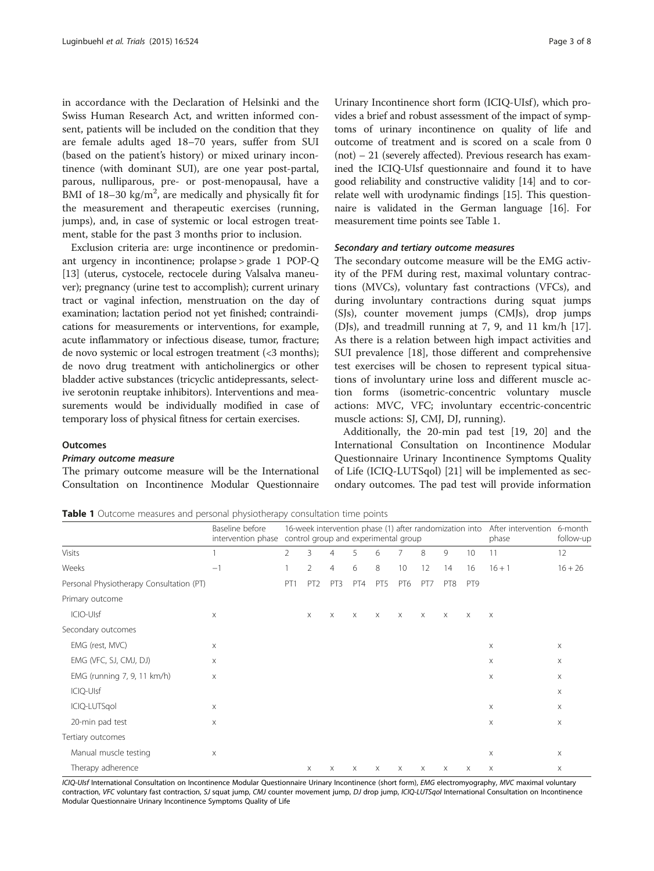in accordance with the Declaration of Helsinki and the Swiss Human Research Act, and written informed consent, patients will be included on the condition that they are female adults aged 18–70 years, suffer from SUI (based on the patient's history) or mixed urinary incontinence (with dominant SUI), are one year post-partal, parous, nulliparous, pre- or post-menopausal, have a BMI of 18–30 kg/m<sup>2</sup>, are medically and physically fit for the measurement and therapeutic exercises (running, jumps), and, in case of systemic or local estrogen treatment, stable for the past 3 months prior to inclusion.

Exclusion criteria are: urge incontinence or predominant urgency in incontinence; prolapse > grade 1 POP-Q [13] (uterus, cystocele, rectocele during Valsalva maneuver); pregnancy (urine test to accomplish); current urinary tract or vaginal infection, menstruation on the day of examination; lactation period not yet finished; contraindications for measurements or interventions, for example, acute inflammatory or infectious disease, tumor, fracture; de novo systemic or local estrogen treatment (<3 months); de novo drug treatment with anticholinergics or other bladder active substances (tricyclic antidepressants, selective serotonin reuptake inhibitors). Interventions and measurements would be individually modified in case of temporary loss of physical fitness for certain exercises.

## **Outcomes**

#### Primary outcome measure

The primary outcome measure will be the International Consultation on Incontinence Modular Questionnaire

Urinary Incontinence short form (ICIQ-UIsf), which provides a brief and robust assessment of the impact of symptoms of urinary incontinence on quality of life and outcome of treatment and is scored on a scale from 0 (not) – 21 (severely affected). Previous research has examined the ICIQ-UIsf questionnaire and found it to have good reliability and constructive validity [14] and to correlate well with urodynamic findings [15]. This questionnaire is validated in the German language [16]. For measurement time points see Table 1.

#### Secondary and tertiary outcome measures

The secondary outcome measure will be the EMG activity of the PFM during rest, maximal voluntary contractions (MVCs), voluntary fast contractions (VFCs), and during involuntary contractions during squat jumps (SJs), counter movement jumps (CMJs), drop jumps (DJs), and treadmill running at 7, 9, and 11 km/h [17]. As there is a relation between high impact activities and SUI prevalence [18], those different and comprehensive test exercises will be chosen to represent typical situations of involuntary urine loss and different muscle action forms (isometric-concentric voluntary muscle actions: MVC, VFC; involuntary eccentric-concentric muscle actions: SJ, CMJ, DJ, running).

Additionally, the 20-min pad test [19, 20] and the International Consultation on Incontinence Modular Questionnaire Urinary Incontinence Symptoms Quality of Life (ICIQ-LUTSqol) [21] will be implemented as secondary outcomes. The pad test will provide information

**Table 1** Outcome measures and personal physiotherapy consultation time points

|                                          | Baseline before<br>intervention phase control group and experimental group |                 |                 |                           |             |          |          |          |                           | 16-week intervention phase (1) after randomization into | After intervention<br>phase | 6-month<br>follow-up  |
|------------------------------------------|----------------------------------------------------------------------------|-----------------|-----------------|---------------------------|-------------|----------|----------|----------|---------------------------|---------------------------------------------------------|-----------------------------|-----------------------|
| Visits                                   |                                                                            | $\overline{2}$  | 3               | $\overline{4}$            | 5           | 6        | 7        | 8        | 9                         | 10                                                      | 11                          | 12                    |
| Weeks                                    | $-1$                                                                       |                 | 2               | 4                         | 6           | 8        | 10       | 12       | 14                        | 16                                                      | $16 + 1$                    | $16 + 26$             |
| Personal Physiotherapy Consultation (PT) |                                                                            | PT <sub>1</sub> | PT <sub>2</sub> | PT3                       | PT4         | PT5      | PT6      | PT7      | PT8                       | PT9                                                     |                             |                       |
| Primary outcome                          |                                                                            |                 |                 |                           |             |          |          |          |                           |                                                         |                             |                       |
| ICIO-UIsf                                | $\times$                                                                   |                 | X               | $\boldsymbol{\mathsf{X}}$ | $\mathsf X$ | $\times$ | $\times$ | $\times$ | $\boldsymbol{\mathsf{X}}$ | $\times$                                                | X                           |                       |
| Secondary outcomes                       |                                                                            |                 |                 |                           |             |          |          |          |                           |                                                         |                             |                       |
| EMG (rest, MVC)                          | X                                                                          |                 |                 |                           |             |          |          |          |                           |                                                         | X                           | X                     |
| EMG (VFC, SJ, CMJ, DJ)                   | $\times$                                                                   |                 |                 |                           |             |          |          |          |                           |                                                         | X                           | X                     |
| EMG (running 7, 9, 11 km/h)              | $\times$                                                                   |                 |                 |                           |             |          |          |          |                           |                                                         | X                           | X                     |
| ICIQ-UIsf                                |                                                                            |                 |                 |                           |             |          |          |          |                           |                                                         |                             | X                     |
| ICIQ-LUTSqol                             | X                                                                          |                 |                 |                           |             |          |          |          |                           |                                                         | X                           | X                     |
| 20-min pad test                          | $\times$                                                                   |                 |                 |                           |             |          |          |          |                           |                                                         | X                           | $\boldsymbol{\times}$ |
| Tertiary outcomes                        |                                                                            |                 |                 |                           |             |          |          |          |                           |                                                         |                             |                       |
| Manual muscle testing                    | X                                                                          |                 |                 |                           |             |          |          |          |                           |                                                         | X                           | X                     |
| Therapy adherence                        |                                                                            |                 | Χ               | $\times$                  | $\times$    | $\times$ | $\times$ | $\times$ | $\times$                  | X                                                       | X                           | X                     |

ICIQ-UIsf International Consultation on Incontinence Modular Questionnaire Urinary Incontinence (short form), EMG electromyography, MVC maximal voluntary contraction, VFC voluntary fast contraction, SJ squat jump, CMJ counter movement jump, DJ drop jump, ICIQ-LUTSqol International Consultation on Incontinence Modular Questionnaire Urinary Incontinence Symptoms Quality of Life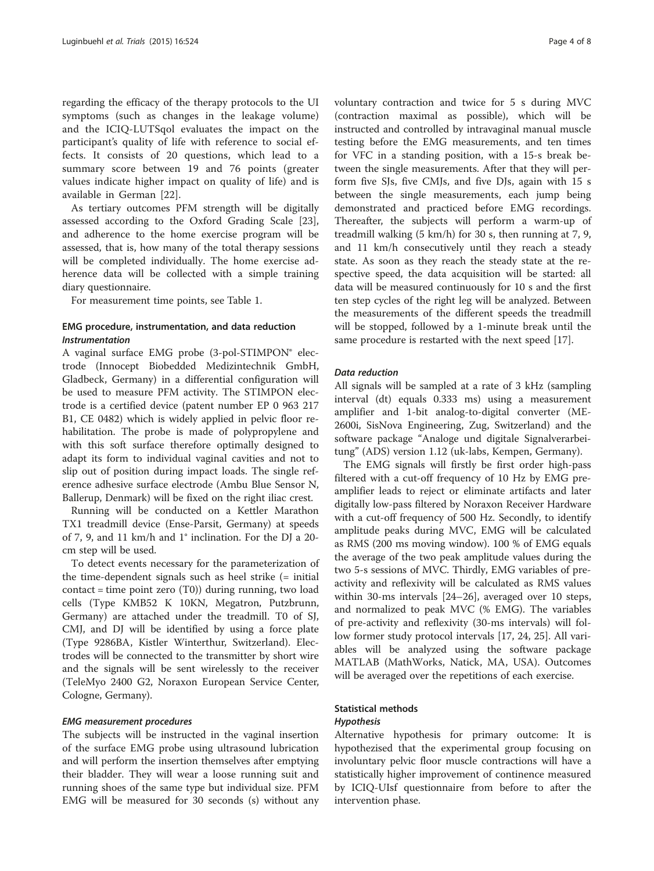regarding the efficacy of the therapy protocols to the UI symptoms (such as changes in the leakage volume) and the ICIQ-LUTSqol evaluates the impact on the participant's quality of life with reference to social effects. It consists of 20 questions, which lead to a summary score between 19 and 76 points (greater values indicate higher impact on quality of life) and is available in German [22].

As tertiary outcomes PFM strength will be digitally assessed according to the Oxford Grading Scale [23], and adherence to the home exercise program will be assessed, that is, how many of the total therapy sessions will be completed individually. The home exercise adherence data will be collected with a simple training diary questionnaire.

For measurement time points, see Table 1.

# EMG procedure, instrumentation, and data reduction Instrumentation

A vaginal surface EMG probe (3-pol-STIMPON® electrode (Innocept Biobedded Medizintechnik GmbH, Gladbeck, Germany) in a differential configuration will be used to measure PFM activity. The STIMPON electrode is a certified device (patent number EP 0 963 217 B1, CE 0482) which is widely applied in pelvic floor rehabilitation. The probe is made of polypropylene and with this soft surface therefore optimally designed to adapt its form to individual vaginal cavities and not to slip out of position during impact loads. The single reference adhesive surface electrode (Ambu Blue Sensor N, Ballerup, Denmark) will be fixed on the right iliac crest.

Running will be conducted on a Kettler Marathon TX1 treadmill device (Ense-Parsit, Germany) at speeds of 7, 9, and 11 km/h and 1° inclination. For the DJ a 20 cm step will be used.

To detect events necessary for the parameterization of the time-dependent signals such as heel strike (= initial contact = time point zero (T0)) during running, two load cells (Type KMB52 K 10KN, Megatron, Putzbrunn, Germany) are attached under the treadmill. T0 of SJ, CMJ, and DJ will be identified by using a force plate (Type 9286BA, Kistler Winterthur, Switzerland). Electrodes will be connected to the transmitter by short wire and the signals will be sent wirelessly to the receiver (TeleMyo 2400 G2, Noraxon European Service Center, Cologne, Germany).

#### EMG measurement procedures

The subjects will be instructed in the vaginal insertion of the surface EMG probe using ultrasound lubrication and will perform the insertion themselves after emptying their bladder. They will wear a loose running suit and running shoes of the same type but individual size. PFM EMG will be measured for 30 seconds (s) without any voluntary contraction and twice for 5 s during MVC (contraction maximal as possible), which will be instructed and controlled by intravaginal manual muscle testing before the EMG measurements, and ten times for VFC in a standing position, with a 15-s break between the single measurements. After that they will perform five SJs, five CMJs, and five DJs, again with 15 s between the single measurements, each jump being demonstrated and practiced before EMG recordings. Thereafter, the subjects will perform a warm-up of treadmill walking (5 km/h) for 30 s, then running at 7, 9, and 11 km/h consecutively until they reach a steady state. As soon as they reach the steady state at the respective speed, the data acquisition will be started: all data will be measured continuously for 10 s and the first ten step cycles of the right leg will be analyzed. Between the measurements of the different speeds the treadmill will be stopped, followed by a 1-minute break until the same procedure is restarted with the next speed [17].

#### Data reduction

All signals will be sampled at a rate of 3 kHz (sampling interval (dt) equals 0.333 ms) using a measurement amplifier and 1-bit analog-to-digital converter (ME-2600i, SisNova Engineering, Zug, Switzerland) and the software package "Analoge und digitale Signalverarbeitung" (ADS) version 1.12 (uk-labs, Kempen, Germany).

The EMG signals will firstly be first order high-pass filtered with a cut-off frequency of 10 Hz by EMG preamplifier leads to reject or eliminate artifacts and later digitally low-pass filtered by Noraxon Receiver Hardware with a cut-off frequency of 500 Hz. Secondly, to identify amplitude peaks during MVC, EMG will be calculated as RMS (200 ms moving window). 100 % of EMG equals the average of the two peak amplitude values during the two 5-s sessions of MVC. Thirdly, EMG variables of preactivity and reflexivity will be calculated as RMS values within 30-ms intervals [24–26], averaged over 10 steps, and normalized to peak MVC (% EMG). The variables of pre-activity and reflexivity (30-ms intervals) will follow former study protocol intervals [17, 24, 25]. All variables will be analyzed using the software package MATLAB (MathWorks, Natick, MA, USA). Outcomes will be averaged over the repetitions of each exercise.

# Statistical methods Hypothesis

Alternative hypothesis for primary outcome: It is hypothezised that the experimental group focusing on involuntary pelvic floor muscle contractions will have a statistically higher improvement of continence measured by ICIQ-UIsf questionnaire from before to after the intervention phase.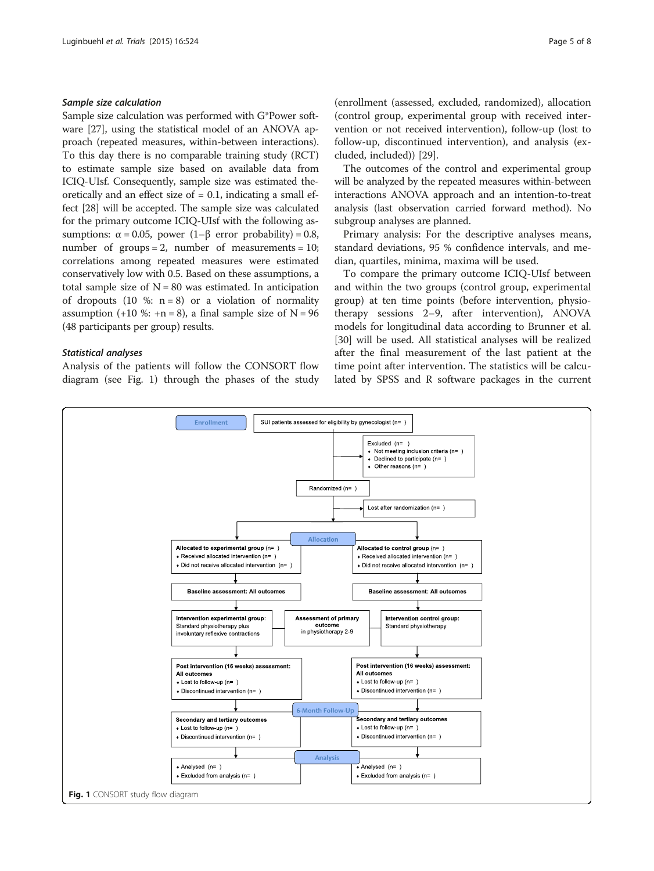#### Sample size calculation

Sample size calculation was performed with G\*Power software [27], using the statistical model of an ANOVA approach (repeated measures, within-between interactions). To this day there is no comparable training study (RCT) to estimate sample size based on available data from ICIQ-UIsf. Consequently, sample size was estimated theoretically and an effect size of  $= 0.1$ , indicating a small effect [28] will be accepted. The sample size was calculated for the primary outcome ICIQ-UIsf with the following assumptions:  $\alpha = 0.05$ , power  $(1-\beta$  error probability) = 0.8, number of groups = 2, number of measurements =  $10$ ; correlations among repeated measures were estimated conservatively low with 0.5. Based on these assumptions, a total sample size of  $N = 80$  was estimated. In anticipation of dropouts  $(10 \, \frac{\pi}{100})$  or a violation of normality assumption  $(+10 \text{ %: } +n = 8)$ , a final sample size of N = 96 (48 participants per group) results.

#### Statistical analyses

Analysis of the patients will follow the CONSORT flow diagram (see Fig. 1) through the phases of the study

(enrollment (assessed, excluded, randomized), allocation (control group, experimental group with received intervention or not received intervention), follow-up (lost to follow-up, discontinued intervention), and analysis (excluded, included)) [29].

The outcomes of the control and experimental group will be analyzed by the repeated measures within-between interactions ANOVA approach and an intention-to-treat analysis (last observation carried forward method). No subgroup analyses are planned.

Primary analysis: For the descriptive analyses means, standard deviations, 95 % confidence intervals, and median, quartiles, minima, maxima will be used.

To compare the primary outcome ICIQ-UIsf between and within the two groups (control group, experimental group) at ten time points (before intervention, physiotherapy sessions 2–9, after intervention), ANOVA models for longitudinal data according to Brunner et al. [30] will be used. All statistical analyses will be realized after the final measurement of the last patient at the time point after intervention. The statistics will be calculated by SPSS and R software packages in the current

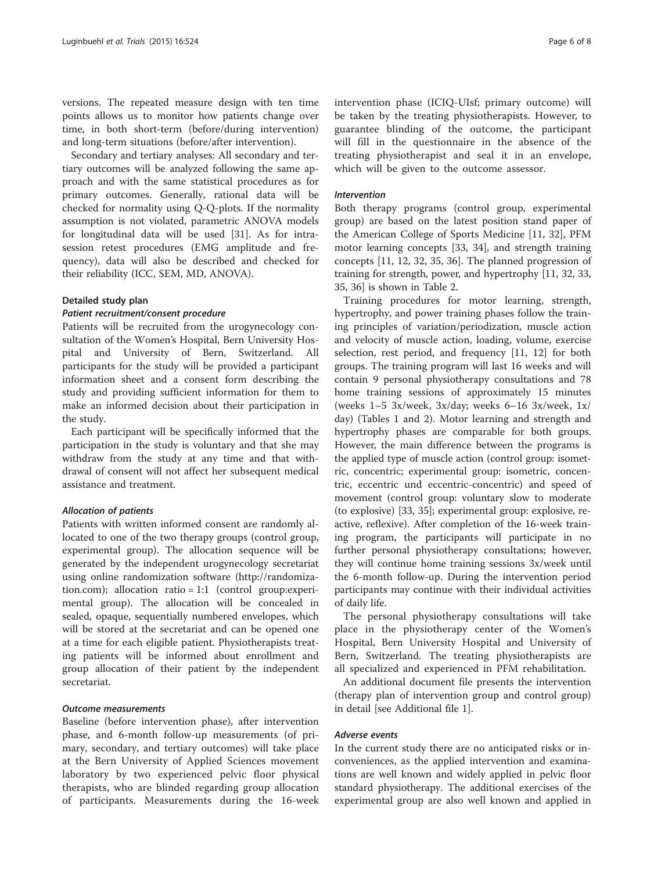versions. The repeated measure design with ten time points allows us to monitor how patients change over time, in both short-term (before/during intervention) and long-term situations (before/after intervention).

Secondary and tertiary analyses: All secondary and tertiary outcomes will be analyzed following the same approach and with the same statistical procedures as for primary outcomes. Generally, rational data will be checked for normality using Q-Q-plots. If the normality assumption is not violated, parametric ANOVA models for longitudinal data will be used [31]. As for intrasession retest procedures (EMG amplitude and frequency), data will also be described and checked for their reliability (ICC, SEM, MD, ANOVA).

#### Detailed study plan

## Patient recruitment/consent procedure

Patients will be recruited from the urogynecology consultation of the Women's Hospital, Bern University Hospital and University of Bern, Switzerland. All participants for the study will be provided a participant information sheet and a consent form describing the study and providing sufficient information for them to make an informed decision about their participation in the study.

Each participant will be specifically informed that the participation in the study is voluntary and that she may withdraw from the study at any time and that withdrawal of consent will not affect her subsequent medical assistance and treatment.

# Allocation of patients

Patients with written informed consent are randomly allocated to one of the two therapy groups (control group, experimental group). The allocation sequence will be generated by the independent urogynecology secretariat using online randomization software [\(http://randomiza](http://randomization.com/)[tion.com\)](http://randomization.com/); allocation ratio = 1:1 (control group:experimental group). The allocation will be concealed in sealed, opaque, sequentially numbered envelopes, which will be stored at the secretariat and can be opened one at a time for each eligible patient. Physiotherapists treating patients will be informed about enrollment and group allocation of their patient by the independent secretariat.

# Outcome measurements

Baseline (before intervention phase), after intervention phase, and 6-month follow-up measurements (of primary, secondary, and tertiary outcomes) will take place at the Bern University of Applied Sciences movement laboratory by two experienced pelvic floor physical therapists, who are blinded regarding group allocation of participants. Measurements during the 16-week intervention phase (ICIQ-UIsf; primary outcome) will be taken by the treating physiotherapists. However, to guarantee blinding of the outcome, the participant will fill in the questionnaire in the absence of the treating physiotherapist and seal it in an envelope, which will be given to the outcome assessor.

#### Intervention

Both therapy programs (control group, experimental group) are based on the latest position stand paper of the American College of Sports Medicine [11, 32], PFM motor learning concepts [33, 34], and strength training concepts [11, 12, 32, 35, 36]. The planned progression of training for strength, power, and hypertrophy [11, 32, 33, 35, 36] is shown in Table 2.

Training procedures for motor learning, strength, hypertrophy, and power training phases follow the training principles of variation/periodization, muscle action and velocity of muscle action, loading, volume, exercise selection, rest period, and frequency [11, 12] for both groups. The training program will last 16 weeks and will contain 9 personal physiotherapy consultations and 78 home training sessions of approximately 15 minutes (weeks 1–5 3x/week, 3x/day; weeks 6–16 3x/week, 1x/ day) (Tables 1 and 2). Motor learning and strength and hypertrophy phases are comparable for both groups. However, the main difference between the programs is the applied type of muscle action (control group: isometric, concentric; experimental group: isometric, concentric, eccentric und eccentric-concentric) and speed of movement (control group: voluntary slow to moderate (to explosive) [33, 35]; experimental group: explosive, reactive, reflexive). After completion of the 16-week training program, the participants will participate in no further personal physiotherapy consultations; however, they will continue home training sessions 3x/week until the 6-month follow-up. During the intervention period participants may continue with their individual activities of daily life.

The personal physiotherapy consultations will take place in the physiotherapy center of the Women's Hospital, Bern University Hospital and University of Bern, Switzerland. The treating physiotherapists are all specialized and experienced in PFM rehabilitation.

An additional document file presents the intervention (therapy plan of intervention group and control group) in detail [see Additional file 1].

# Adverse events

In the current study there are no anticipated risks or inconveniences, as the applied intervention and examinations are well known and widely applied in pelvic floor standard physiotherapy. The additional exercises of the experimental group are also well known and applied in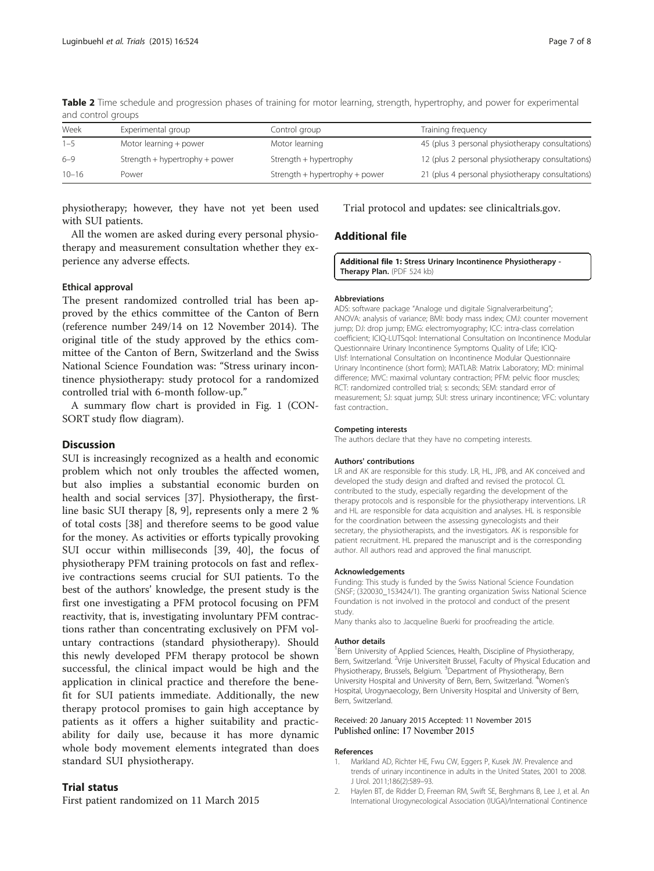| Week      | Experimental group             | Control group                  | Training frequency                               |
|-----------|--------------------------------|--------------------------------|--------------------------------------------------|
| $1 - 5$   | Motor learning + power         | Motor learning                 | 45 (plus 3 personal physiotherapy consultations) |
| $6 - 9$   | Strength + hypertrophy + power | Strength + hypertrophy         | 12 (plus 2 personal physiotherapy consultations) |
| $10 - 16$ | Power                          | Strength + hypertrophy + power | 21 (plus 4 personal physiotherapy consultations) |

Table 2 Time schedule and progression phases of training for motor learning, strength, hypertrophy, and power for experimental and control groups

physiotherapy; however, they have not yet been used with SUI patients.

All the women are asked during every personal physiotherapy and measurement consultation whether they experience any adverse effects.

#### Ethical approval

The present randomized controlled trial has been approved by the ethics committee of the Canton of Bern (reference number 249/14 on 12 November 2014). The original title of the study approved by the ethics committee of the Canton of Bern, Switzerland and the Swiss National Science Foundation was: "Stress urinary incontinence physiotherapy: study protocol for a randomized controlled trial with 6-month follow-up."

A summary flow chart is provided in Fig. 1 (CON-SORT study flow diagram).

## **Discussion**

SUI is increasingly recognized as a health and economic problem which not only troubles the affected women, but also implies a substantial economic burden on health and social services [37]. Physiotherapy, the firstline basic SUI therapy [8, 9], represents only a mere 2 % of total costs [38] and therefore seems to be good value for the money. As activities or efforts typically provoking SUI occur within milliseconds [39, 40], the focus of physiotherapy PFM training protocols on fast and reflexive contractions seems crucial for SUI patients. To the best of the authors' knowledge, the present study is the first one investigating a PFM protocol focusing on PFM reactivity, that is, investigating involuntary PFM contractions rather than concentrating exclusively on PFM voluntary contractions (standard physiotherapy). Should this newly developed PFM therapy protocol be shown successful, the clinical impact would be high and the application in clinical practice and therefore the benefit for SUI patients immediate. Additionally, the new therapy protocol promises to gain high acceptance by patients as it offers a higher suitability and practicability for daily use, because it has more dynamic whole body movement elements integrated than does standard SUI physiotherapy.

# Trial status

First patient randomized on 11 March 2015

Trial protocol and updates: see clinicaltrials.gov.

# Additional file

[Additional file 1:](dx.doi.org/10.1186/s13063-015-1051-0) Stress Urinary Incontinence Physiotherapy - Therapy Plan. (PDF 524 kb)

#### Abbreviations

ADS: software package "Analoge und digitale Signalverarbeitung"; ANOVA: analysis of variance; BMI: body mass index; CMJ: counter movement jump; DJ: drop jump; EMG: electromyography; ICC: intra-class correlation coefficient; ICIQ-LUTSqol: International Consultation on Incontinence Modular Questionnaire Urinary Incontinence Symptoms Quality of Life; ICIQ-UIsf: International Consultation on Incontinence Modular Questionnaire Urinary Incontinence (short form); MATLAB: Matrix Laboratory; MD: minimal difference; MVC: maximal voluntary contraction; PFM: pelvic floor muscles; RCT: randomized controlled trial; s: seconds; SEM: standard error of measurement; SJ: squat jump; SUI: stress urinary incontinence; VFC: voluntary fast contraction..

#### Competing interests

The authors declare that they have no competing interests.

#### Authors' contributions

LR and AK are responsible for this study. LR, HL, JPB, and AK conceived and developed the study design and drafted and revised the protocol. CL contributed to the study, especially regarding the development of the therapy protocols and is responsible for the physiotherapy interventions. LR and HL are responsible for data acquisition and analyses. HL is responsible for the coordination between the assessing gynecologists and their secretary, the physiotherapists, and the investigators. AK is responsible for patient recruitment. HL prepared the manuscript and is the corresponding author. All authors read and approved the final manuscript.

#### Acknowledgements

Funding: This study is funded by the Swiss National Science Foundation (SNSF; (320030\_153424/1). The granting organization Swiss National Science Foundation is not involved in the protocol and conduct of the present study.

Many thanks also to Jacqueline Buerki for proofreading the article.

#### Author details

<sup>1</sup> Bern University of Applied Sciences, Health, Discipline of Physiotherapy, Bern, Switzerland. <sup>2</sup>Vrije Universiteit Brussel, Faculty of Physical Education and Physiotherapy, Brussels, Belgium. <sup>3</sup>Department of Physiotherapy, Bern University Hospital and University of Bern, Bern, Switzerland. <sup>4</sup> Women's Hospital, Urogynaecology, Bern University Hospital and University of Bern, Bern, Switzerland.

#### Received: 20 January 2015 Accepted: 11 November 2015 Published online: 17 November 2015

#### References

- 1. Markland AD, Richter HE, Fwu CW, Eggers P, Kusek JW. Prevalence and trends of urinary incontinence in adults in the United States, 2001 to 2008. J Urol. 2011;186(2):589–93.
- 2. Haylen BT, de Ridder D, Freeman RM, Swift SE, Berghmans B, Lee J, et al. An International Urogynecological Association (IUGA)/International Continence